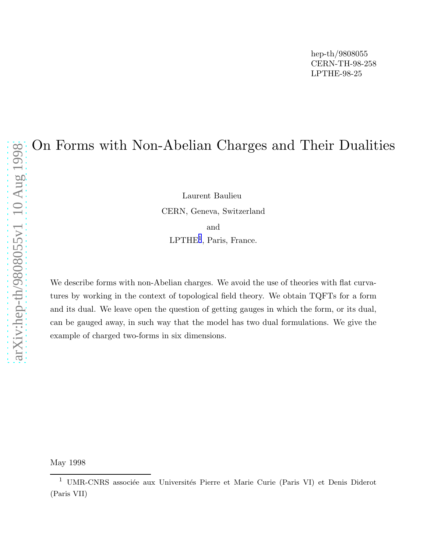# On Forms with Non-Abelian Charges and Their Dualities

Laurent Baulieu CERN, Geneva, Switzerland and LPTHE<sup>1</sup>, Paris, France.

We describe forms with non-Abelian charges. We avoid the use of theories with flat curvatures by working in the context of topological field theory. We obtain TQFTs for a form and its dual. We leave open the question of getting gauges in which the form, or its dual, can be gauged away, in such way that the model has two dual formulations. We give the example of charged two-forms in six dimensions.

May 1998

<sup>&</sup>lt;sup>1</sup> UMR-CNRS associée aux Universités Pierre et Marie Curie (Paris VI) et Denis Diderot (Paris VII)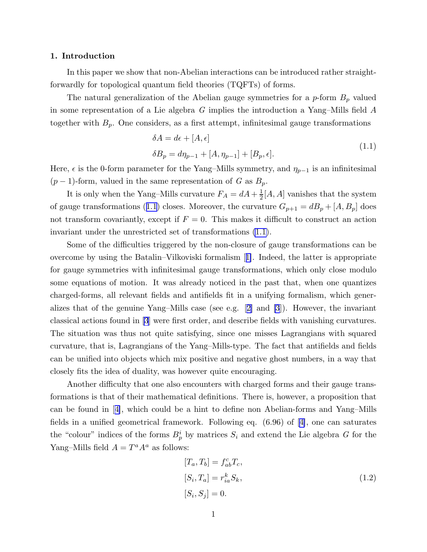## <span id="page-1-0"></span>1. Introduction

In this paper we show that non-Abelian interactions can be introduced rather straightforwardly for topological quantum field theories (TQFTs) of forms.

The natural generalization of the Abelian gauge symmetries for a  $p$ -form  $B_p$  valued in some representation of a Lie algebra  $G$  implies the introduction a Yang–Mills field  $A$ together with  $B_p$ . One considers, as a first attempt, infinitesimal gauge transformations

$$
\delta A = d\epsilon + [A, \epsilon]
$$
  
\n
$$
\delta B_p = d\eta_{p-1} + [A, \eta_{p-1}] + [B_p, \epsilon].
$$
\n(1.1)

Here,  $\epsilon$  is the 0-form parameter for the Yang–Mills symmetry, and  $\eta_{p-1}$  is an infinitesimal  $(p-1)$ -form, valued in the same representation of G as  $B_p$ .

It is only when the Yang–Mills curvature  $F_A = dA + \frac{1}{2}$  $\frac{1}{2}[A, A]$  vanishes that the system of gauge transformations (1.1) closes. Moreover, the curvature  $G_{p+1} = dB_p + [A, B_p]$  does not transform covariantly, except if  $F = 0$ . This makes it difficult to construct an action invariant under the unrestricted set of transformations (1.1).

Some of the difficulties triggered by the non-closure of gauge transformations can be overcome by using the Batalin–Vilkoviski formalism[[1\]](#page-11-0). Indeed, the latter is appropriate for gauge symmetries with infinitesimal gauge transformations, which only close modulo some equations of motion. It was already noticed in the past that, when one quantizes charged-forms, all relevant fields and antifields fit in a unifying formalism, which generalizesthat of the genuine Yang–Mills case (see e.g.  $[2]$  $[2]$  and  $[3]$ ). However, the invariant classical actions found in [\[3](#page-11-0)] were first order, and describe fields with vanishing curvatures. The situation was thus not quite satisfying, since one misses Lagrangians with squared curvature, that is, Lagrangians of the Yang–Mills-type. The fact that antifields and fields can be unified into objects which mix positive and negative ghost numbers, in a way that closely fits the idea of duality, was however quite encouraging.

Another difficulty that one also encounters with charged forms and their gauge transformations is that of their mathematical definitions. There is, however, a proposition that can be found in[[4\]](#page-11-0), which could be a hint to define non Abelian-forms and Yang–Mills fields in a unified geometrical framework. Following eq. (6.96) of[[4\]](#page-11-0), one can saturates the "colour" indices of the forms  $B_p^i$  by matrices  $S_i$  and extend the Lie algebra G for the Yang–Mills field  $A = T^a A^a$  as follows:

$$
[T_a, T_b] = f_{ab}^c T_c,
$$
  
\n
$$
[S_i, T_a] = r_{ia}^k S_k,
$$
  
\n
$$
[S_i, S_j] = 0.
$$
\n(1.2)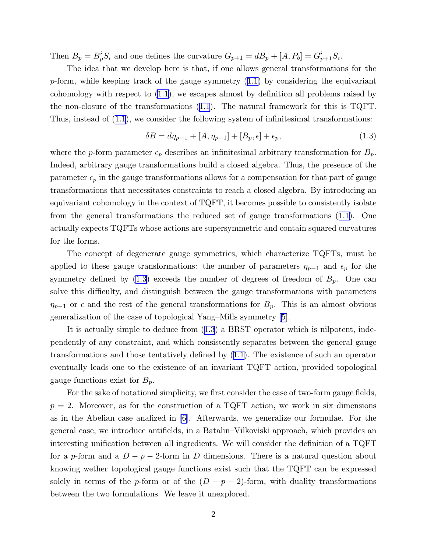<span id="page-2-0"></span>Then  $B_p = B_p^i S_i$  and one defines the curvature  $G_{p+1} = dB_p + [A, P_b] = G_{p+1}^i S_i$ .

The idea that we develop here is that, if one allows general transformations for the  $p$ -form,while keeping track of the gauge symmetry  $(1.1)$  $(1.1)$  by considering the equivariant cohomology with respect to [\(1.1\)](#page-1-0), we escapes almost by definition all problems raised by the non-closure of the transformations([1.1](#page-1-0)). The natural framework for this is TQFT. Thus, instead of [\(1.1](#page-1-0)), we consider the following system of infinitesimal transformations:

$$
\delta B = d\eta_{p-1} + [A, \eta_{p-1}] + [B_p, \epsilon] + \epsilon_p, \tag{1.3}
$$

where the p-form parameter  $\epsilon_p$  describes an infinitesimal arbitrary transformation for  $B_p$ . Indeed, arbitrary gauge transformations build a closed algebra. Thus, the presence of the parameter  $\epsilon_p$  in the gauge transformations allows for a compensation for that part of gauge transformations that necessitates constraints to reach a closed algebra. By introducing an equivariant cohomology in the context of TQFT, it becomes possible to consistently isolate from the general transformations the reduced set of gauge transformations([1.1\)](#page-1-0). One actually expects TQFTs whose actions are supersymmetric and contain squared curvatures for the forms.

The concept of degenerate gauge symmetries, which characterize TQFTs, must be applied to these gauge transformations: the number of parameters  $\eta_{p-1}$  and  $\epsilon_p$  for the symmetry defined by  $(1.3)$  exceeds the number of degrees of freedom of  $B_p$ . One can solve this difficulty, and distinguish between the gauge transformations with parameters  $\eta_{p-1}$  or  $\epsilon$  and the rest of the general transformations for  $B_p$ . This is an almost obvious generalization of the case of topological Yang–Mills symmetry[[5\]](#page-11-0).

It is actually simple to deduce from (1.3) a BRST operator which is nilpotent, independently of any constraint, and which consistently separates between the general gauge transformations and those tentatively defined by([1.1](#page-1-0)). The existence of such an operator eventually leads one to the existence of an invariant TQFT action, provided topological gauge functions exist for  $B_p$ .

For the sake of notational simplicity, we first consider the case of two-form gauge fields,  $p = 2$ . Moreover, as for the construction of a TQFT action, we work in six dimensions as in the Abelian case analized in [\[6](#page-11-0)]. Afterwards, we generalize our formulae. For the general case, we introduce antifields, in a Batalin–Vilkoviski approach, which provides an interesting unification between all ingredients. We will consider the definition of a TQFT for a p-form and a  $D - p - 2$ -form in D dimensions. There is a natural question about knowing wether topological gauge functions exist such that the TQFT can be expressed solely in terms of the p-form or of the  $(D - p - 2)$ -form, with duality transformations between the two formulations. We leave it unexplored.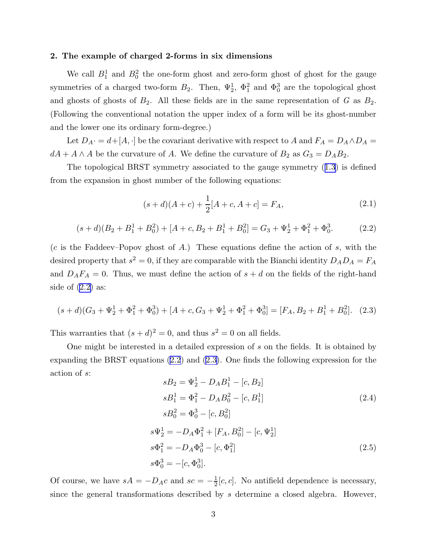#### <span id="page-3-0"></span>2. The example of charged 2-forms in six dimensions

We call  $B_1^1$  and  $B_0^2$  the one-form ghost and zero-form ghost of ghost for the gauge symmetries of a charged two-form  $B_2$ . Then,  $\Psi_2^1$ ,  $\Phi_1^2$  and  $\Phi_0^3$  are the topological ghost and ghosts of ghosts of  $B_2$ . All these fields are in the same representation of G as  $B_2$ . (Following the conventional notation the upper index of a form will be its ghost-number and the lower one its ordinary form-degree.)

Let  $D_A \cdot = d+[A,\cdot]$  be the covariant derivative with respect to A and  $F_A = D_A \wedge D_A =$  $dA + A \wedge A$  be the curvature of A. We define the curvature of  $B_2$  as  $G_3 = D_A B_2$ .

The topological BRST symmetry associated to the gauge symmetry([1.3](#page-2-0)) is defined from the expansion in ghost number of the following equations:

$$
(s+d)(A+c) + \frac{1}{2}[A+c, A+c] = F_A,
$$
\n(2.1)

$$
(s+d)(B_2 + B_1^1 + B_0^2) + [A + c, B_2 + B_1^1 + B_0^2] = G_3 + \Psi_2^1 + \Phi_1^2 + \Phi_0^3.
$$
 (2.2)

 $(c$  is the Faddeev–Popov ghost of A.) These equations define the action of s, with the desired property that  $s^2 = 0$ , if they are comparable with the Bianchi identity  $D_A D_A = F_A$ and  $D_A F_A = 0$ . Thus, we must define the action of  $s + d$  on the fields of the right-hand side of  $(2.2)$  as:

$$
(s+d)(G_3 + \Psi_2^1 + \Phi_1^2 + \Phi_0^3) + [A + c, G_3 + \Psi_2^1 + \Phi_1^2 + \Phi_0^3] = [F_A, B_2 + B_1^1 + B_0^2].
$$
 (2.3)

This warranties that  $(s+d)^2 = 0$ , and thus  $s^2 = 0$  on all fields.

One might be interested in a detailed expression of s on the fields. It is obtained by expanding the BRST equations([2.2](#page-1-0)) and [\(2.3\)](#page-2-0). One finds the following expression for the action of s:

$$
sB_2 = \Psi_2^1 - D_A B_1^1 - [c, B_2]
$$
  
\n
$$
sB_1^1 = \Phi_1^2 - D_A B_0^2 - [c, B_1^1]
$$
  
\n
$$
sB_0^2 = \Phi_0^3 - [c, B_0^2]
$$
  
\n
$$
s\Psi_2^1 = -D_A \Phi_1^2 + [F_A, B_0^2] - [c, \Psi_2^1]
$$
  
\n
$$
s\Phi_1^2 = -D_A \Phi_0^3 - [c, \Phi_1^2]
$$
  
\n
$$
s\Phi_0^3 = -[c, \Phi_0^3].
$$
\n(2.5)

Of course, we have  $sA = -D_Ac$  and  $sc = -\frac{1}{2}$  $\frac{1}{2}[c, c]$ . No antifield dependence is necessary, since the general transformations described by s determine a closed algebra. However,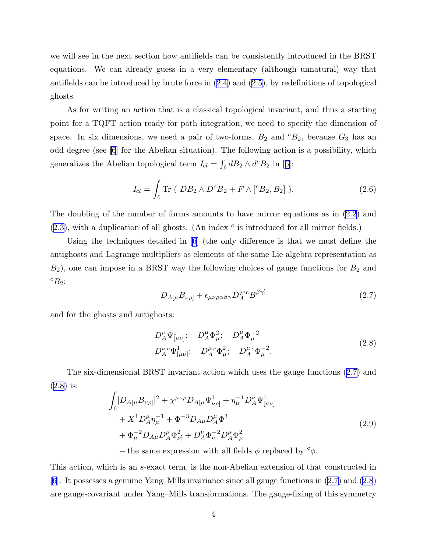<span id="page-4-0"></span>we will see in the next section how antifields can be consistently introduced in the BRST equations. We can already guess in a very elementary (although unnatural) way that antifields can be introduced by brute force in([2.4](#page-3-0)) and([2.5](#page-3-0)), by redefinitions of topological ghosts.

As for writing an action that is a classical topological invariant, and thus a starting point for a TQFT action ready for path integration, we need to specify the dimension of space. In six dimensions, we need a pair of two-forms,  $B_2$  and  ${}^cB_2$ , because  $G_3$  has an odd degree (see [\[6](#page-11-0)] for the Abelian situation). The following action is a possibility, which generalizesthe Abelian topological term  $I_{cl} = \int_6 dB_2 \wedge d^c B_2$  in [[6\]](#page-11-0):

$$
I_{cl} = \int_{6} \text{Tr} \ (DB_{2} \wedge D^{c} B_{2} + F \wedge [{}^{c} B_{2}, B_{2}]). \qquad (2.6)
$$

The doubling of the number of forms amounts to have mirror equations as in [\(2.2](#page-1-0)) and  $(2.3)$  $(2.3)$  $(2.3)$ , with a duplication of all ghosts. (An index  $c$  is introduced for all mirror fields.)

Using the techniques detailed in [\[6](#page-11-0)] (the only difference is that we must define the antighosts and Lagrange multipliers as elements of the same Lie algebra representation as  $B_2$ ), one can impose in a BRST way the following choices of gauge functions for  $B_2$  and  ${}^cB_2$ :

$$
D_{A[\mu}B_{\nu\rho]} + \epsilon_{\mu\nu\rho\alpha\beta\gamma}D_A^{[\alpha c}B^{\beta\gamma]}
$$
\n(2.7)

and for the ghosts and antighosts:

$$
D_A^{\nu} \Psi^1_{[\mu\nu]}; \quad D_A^{\mu} \Phi^2_{\mu}; \quad D_A^{\mu} \Phi^{-2}_{\mu}
$$
  

$$
D_A^{\nu}{}^c \Psi^1_{[\mu\nu]}; \quad D_A^{\mu}{}^c \Phi^2_{\mu}; \quad D_A^{\mu}{}^c \Phi^{-2}_{\mu}.
$$
 (2.8)

The six-dimensional BRST invariant action which uses the gauge functions (2.7) and (2.8) is:

$$
\int_{6} |D_{A[\mu}B_{\nu\rho]}|^{2} + \chi^{\mu\nu\rho} D_{A[\mu}\Psi^{1}_{\nu\rho]} + \eta^{-1}_{\mu} D^{\nu}_{A}\Psi^{1}_{[\mu\nu]}
$$
  
+  $X^{1} D^{\mu}_{A}\eta^{-1}_{\mu} + \Phi^{-3} D_{A\mu} D^{\mu}_{A}\Phi^{3}$   
+  $\Phi^{-2}_{\mu} D_{A\mu} D^{\mu}_{A}\Phi^{2}_{\nu]} + D^{\nu}_{A}\Phi^{-2}_{\nu} D^{\mu}_{A}\Phi^{2}_{\mu}$  (2.9)

– the same expression with all fields  $\phi$  replaced by  $\phi$ .

This action, which is an s-exact term, is the non-Abelian extension of that constructed in [\[6](#page-11-0)]. It possesses a genuine Yang–Mills invariance since all gauge functions in (2.7) and (2.8) are gauge-covariant under Yang–Mills transformations. The gauge-fixing of this symmetry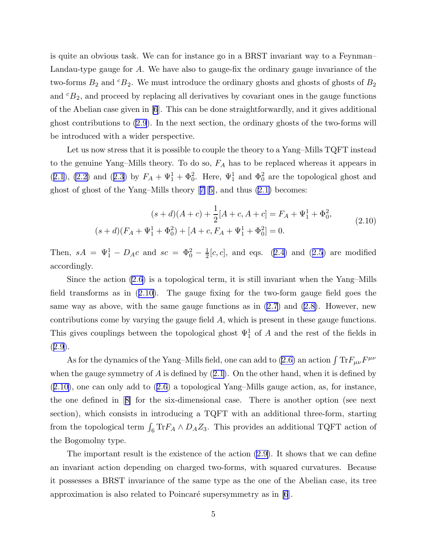<span id="page-5-0"></span>is quite an obvious task. We can for instance go in a BRST invariant way to a Feynman– Landau-type gauge for A. We have also to gauge-fix the ordinary gauge invariance of the two-forms  $B_2$  and  ${}^cB_2$ . We must introduce the ordinary ghosts and ghosts of ghosts of  $B_2$ and  ${}^{c}B_2$ , and proceed by replacing all derivatives by covariant ones in the gauge functions of the Abelian case given in [\[6](#page-11-0)]. This can be done straightforwardly, and it gives additional ghost contributions to [\(2.9](#page-4-0)). In the next section, the ordinary ghosts of the two-forms will be introduced with a wider perspective.

Let us now stress that it is possible to couple the theory to a Yang–Mills TQFT instead to the genuine Yang–Mills theory. To do so,  $F_A$  has to be replaced whereas it appears in  $(2.1)$  $(2.1)$  $(2.1)$ , $(2.2)$  and  $(2.3)$  $(2.3)$  by  $F_A + \Psi_1^1 + \Phi_0^2$ . Here,  $\Psi_1^1$  and  $\Phi_0^2$  are the topological ghost and ghost of ghost of the Yang–Mills theory[[7\]](#page-11-0)[[5\]](#page-11-0), and thus [\(2.1\)](#page-1-0) becomes:

$$
(s+d)(A+c) + \frac{1}{2}[A+c, A+c] = F_A + \Psi_1^1 + \Phi_0^2,
$$
  

$$
(s+d)(F_A + \Psi_1^1 + \Phi_0^2) + [A+c, F_A + \Psi_1^1 + \Phi_0^2] = 0.
$$
 (2.10)

Then,  $sA = \Psi_1^1 - D_A c$  and  $sc = \Phi_0^2 - \frac{1}{2}$  $\frac{1}{2}[c, c]$  $\frac{1}{2}[c, c]$  $\frac{1}{2}[c, c]$ , and eqs. ([2.4](#page-3-0)) and ([2.5](#page-3-0)) are modified accordingly.

Since the action [\(2.6\)](#page-4-0) is a topological term, it is still invariant when the Yang–Mills field transforms as in (2.10). The gauge fixing for the two-form gauge field goes the sameway as above, with the same gauge functions as in  $(2.7)$  $(2.7)$  $(2.7)$  and  $(2.8)$ . However, new contributions come by varying the gauge field A, which is present in these gauge functions. This gives couplings between the topological ghost  $\Psi_1^1$  of A and the rest of the fields in ([2.9](#page-4-0)).

As for the dynamics of the Yang-Mills field, one can add to [\(2.6\)](#page-4-0) an action  $\int \text{Tr} F_{\mu\nu}F^{\mu\nu}$ whenthe gauge symmetry of  $A$  is defined by  $(2.1)$  $(2.1)$ . On the other hand, when it is defined by (2.10), one can only add to([2.6](#page-4-0)) a topological Yang–Mills gauge action, as, for instance, the one defined in[[8\]](#page-11-0) for the six-dimensional case. There is another option (see next section), which consists in introducing a TQFT with an additional three-form, starting from the topological term  $\int_6 \text{Tr} F_A \wedge D_A Z_3$ . This provides an additional TQFT action of the Bogomolny type.

The important result is the existence of the action [\(2.9\)](#page-4-0). It shows that we can define an invariant action depending on charged two-forms, with squared curvatures. Because it possesses a BRST invariance of the same type as the one of the Abelian case, its tree approximation is also related to Poincaré supersymmetry as in  $[6]$ .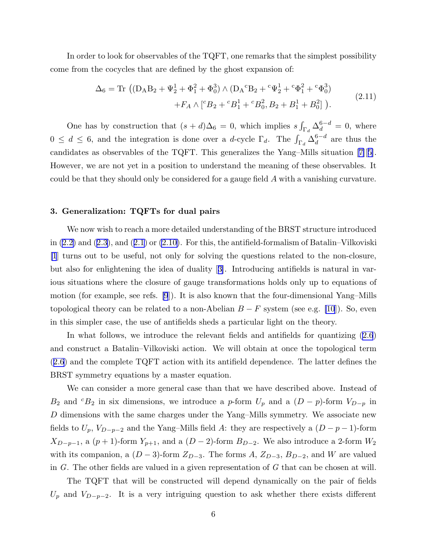<span id="page-6-0"></span>In order to look for observables of the TQFT, one remarks that the simplest possibility come from the cocycles that are defined by the ghost expansion of:

$$
\Delta_6 = \text{Tr} \left( (\text{D}_A \text{B}_2 + \Psi_2^1 + \Phi_1^2 + \Phi_0^3) \wedge (\text{D}_A{}^c \text{B}_2 + {}^c \Psi_2^1 + {}^c \Phi_1^2 + {}^c \Phi_0^3) + F_A \wedge [{}^c B_2 + {}^c B_1^1 + {}^c B_0^2, B_2 + B_1^1 + B_0^2] \right). \tag{2.11}
$$

One has by construction that  $(s+d)\Delta_6 = 0$ , which implies  $s \int_{\Gamma_d} \Delta_d^{6-d} = 0$ , where  $0 \leq d \leq 6$ , and the integration is done over a *d*-cycle  $\Gamma_d$ . The  $\int_{\Gamma_d} \Delta_d^{6-d}$  $a^{b-a}$  are thus the candidates as observables of the TQFT. This generalizes the Yang–Mills situation[[7\]](#page-11-0)[[5\]](#page-11-0). However, we are not yet in a position to understand the meaning of these observables. It could be that they should only be considered for a gauge field A with a vanishing curvature.

## 3. Generalization: TQFTs for dual pairs

We now wish to reach a more detailed understanding of the BRST structure introduced in [\(2.2\)](#page-1-0) and([2.3](#page-2-0)), and([2.1](#page-1-0)) or [\(2.10\)](#page-5-0). For this, the antifield-formalism of Batalin–Vilkoviski [\[1](#page-11-0)] turns out to be useful, not only for solving the questions related to the non-closure, but also for enlightening the idea of duality[[3\]](#page-11-0). Introducing antifields is natural in various situations where the closure of gauge transformations holds only up to equations of motion (for example, see refs. [\[9](#page-11-0)]). It is also known that the four-dimensional Yang–Mills topological theory can be related to a non-Abelian  $B - F$  system (see e.g. [\[10](#page-11-0)]). So, even in this simpler case, the use of antifields sheds a particular light on the theory.

In what follows, we introduce the relevant fields and antifields for quantizing [\(2.6](#page-4-0)) and construct a Batalin–Vilkoviski action. We will obtain at once the topological term  $(2.6)$  $(2.6)$  $(2.6)$  and the complete TQFT action with its antifield dependence. The latter defines the BRST symmetry equations by a master equation.

We can consider a more general case than that we have described above. Instead of  $B_2$  and <sup>c</sup>B<sub>2</sub> in six dimensions, we introduce a p-form  $U_p$  and a  $(D - p)$ -form  $V_{D-p}$  in D dimensions with the same charges under the Yang–Mills symmetry. We associate new fields to  $U_p$ ,  $V_{D-p-2}$  and the Yang–Mills field A: they are respectively a  $(D-p-1)$ -form  $X_{D-p-1}$ , a  $(p+1)$ -form  $Y_{p+1}$ , and a  $(D-2)$ -form  $B_{D-2}$ . We also introduce a 2-form  $W_2$ with its companion, a  $(D-3)$ -form  $Z_{D-3}$ . The forms A,  $Z_{D-3}$ ,  $B_{D-2}$ , and W are valued in  $G$ . The other fields are valued in a given representation of  $G$  that can be chosen at will.

The TQFT that will be constructed will depend dynamically on the pair of fields  $U_p$  and  $V_{D-p-2}$ . It is a very intriguing question to ask whether there exists different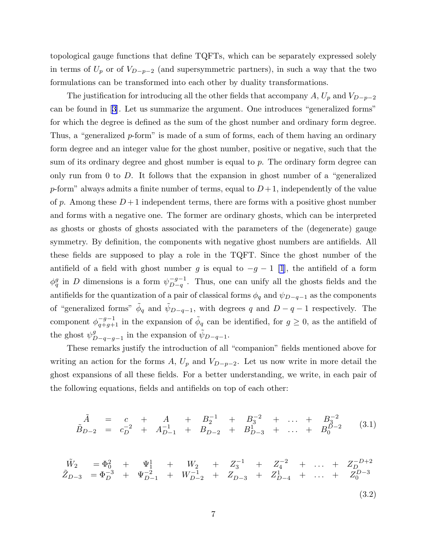topological gauge functions that define TQFTs, which can be separately expressed solely in terms of  $U_p$  or of  $V_{D-p-2}$  (and supersymmetric partners), in such a way that the two formulations can be transformed into each other by duality transformations.

The justification for introducing all the other fields that accompany A,  $U_p$  and  $V_{D-p-2}$ can be found in[[3\]](#page-11-0). Let us summarize the argument. One introduces "generalized forms" for which the degree is defined as the sum of the ghost number and ordinary form degree. Thus, a "generalized p-form" is made of a sum of forms, each of them having an ordinary form degree and an integer value for the ghost number, positive or negative, such that the sum of its ordinary degree and ghost number is equal to p. The ordinary form degree can only run from 0 to  $D$ . It follows that the expansion in ghost number of a "generalized" p-form" always admits a finite number of terms, equal to  $D+1$ , independently of the value of p. Among these  $D+1$  independent terms, there are forms with a positive ghost number and forms with a negative one. The former are ordinary ghosts, which can be interpreted as ghosts or ghosts of ghosts associated with the parameters of the (degenerate) gauge symmetry. By definition, the components with negative ghost numbers are antifields. All these fields are supposed to play a role in the TQFT. Since the ghost number of the antifield of a field with ghost number g is equal to  $-g-1$  [\[1](#page-11-0)], the antifield of a form  $\phi_q^g$  in D dimensions is a form  $\psi_{D-q}^{-g-1}$  $\frac{-g-1}{D-q}$ . Thus, one can unify all the ghosts fields and the antifields for the quantization of a pair of classical forms  $\phi_q$  and  $\psi_{D-q-1}$  as the components of "generalized forms"  $\tilde{\phi}_q$  and  $\tilde{\psi}_{D-q-1}$ , with degrees q and  $D-q-1$  respectively. The component  $\phi_{q+g+1}^{-g-1}$  in the expansion of  $\tilde{\phi}_q$  can be identified, for  $g \geq 0$ , as the antifield of the ghost  $\psi_{D-q-g-1}^g$  in the expansion of  $\tilde{\psi}_{D-q-1}$ .

These remarks justify the introduction of all "companion" fields mentioned above for writing an action for the forms A,  $U_p$  and  $V_{D-p-2}$ . Let us now write in more detail the ghost expansions of all these fields. For a better understanding, we write, in each pair of the following equations, fields and antifields on top of each other:

$$
\tilde{A} = c + A + B_2^{-1} + B_3^{-2} + \dots + B_3^{-2}
$$
\n
$$
\tilde{B}_{D-2} = c_D^{-2} + A_{D-1}^{-1} + B_{D-2} + B_{D-3}^{1} + \dots + B_0^{D-2}
$$
\n(3.1)

$$
\tilde{X}_{D-3} = \Phi_0^2 + \Psi_1^1 + W_2 + Z_3^{-1} + Z_4^{-2} + \dots + Z_D^{-D+2}
$$
\n
$$
\tilde{Z}_{D-3} = \Phi_D^{-3} + \Psi_{D-1}^{-2} + W_{D-2}^{-1} + Z_{D-3} + Z_{D-4}^{1} + \dots + Z_0^{D-3}
$$
\n(3.2)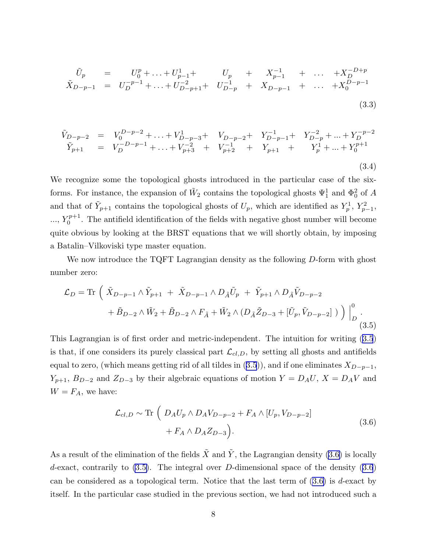$$
\tilde{U}_p = U_0^p + \dots + U_{p-1}^1 + U_p + X_{p-1}^{-1} + \dots + X_D^{-D+p}
$$
\n
$$
\tilde{X}_{D-p-1} = U_D^{-p-1} + \dots + U_{D-p+1}^{-2} + U_{D-p}^{-1} + X_{D-p-1} + \dots + X_0^{D-p-1}
$$
\n(3.3)

$$
\tilde{V}_{D-p-2} = V_0^{D-p-2} + \dots + V_{D-p-3}^1 + V_{D-p-2} + Y_{D-p-1}^{-1} + Y_{D-p}^{-2} + \dots + Y_D^{-p-2}
$$
\n
$$
\tilde{Y}_{p+1} = V_D^{-D-p-1} + \dots + V_{p+3}^{-2} + V_{p+2}^{-1} + Y_{p+1} + Y_1^1 + \dots + Y_0^{p+1}
$$
\n(3.4)

We recognize some the topological ghosts introduced in the particular case of the sixforms. For instance, the expansion of  $\tilde{W}_2$  contains the topological ghosts  $\Psi_1^1$  and  $\Phi_0^2$  of A and that of  $\tilde{Y}_{p+1}$  contains the topological ghosts of  $U_p$ , which are identified as  $Y_p^1$ ,  $Y_{p-1}^2$ ,  $..., Y_0^{p+1}$  $0^{p+1}$ . The antifield identification of the fields with negative ghost number will become quite obvious by looking at the BRST equations that we will shortly obtain, by imposing a Batalin–Vilkoviski type master equation.

We now introduce the TQFT Lagrangian density as the following D-form with ghost number zero:

$$
\mathcal{L}_{D} = \text{Tr} \left( \tilde{X}_{D-p-1} \wedge \tilde{Y}_{p+1} + \tilde{X}_{D-p-1} \wedge D_{\tilde{A}} \tilde{U}_{p} + \tilde{Y}_{p+1} \wedge D_{\tilde{A}} \tilde{V}_{D-p-2} \right. \\
\left. + \tilde{B}_{D-2} \wedge \tilde{W}_{2} + \tilde{B}_{D-2} \wedge F_{\tilde{A}} + \tilde{W}_{2} \wedge (D_{\tilde{A}} \tilde{Z}_{D-3} + [\tilde{U}_{p}, \tilde{V}_{D-p-2}]) \right) \Big|_{D}^{0} .
$$
\n(3.5)

This Lagrangian is of first order and metric-independent. The intuition for writing [\(3.5](#page-3-0)) is that, if one considers its purely classical part  $\mathcal{L}_{cl,D}$ , by setting all ghosts and antifields equalto zero, (which means getting rid of all tildes in  $(3.5)$  $(3.5)$  $(3.5)$ ), and if one eliminates  $X_{D-p-1}$ ,  $Y_{p+1}$ ,  $B_{D-2}$  and  $Z_{D-3}$  by their algebraic equations of motion  $Y = D_A U$ ,  $X = D_A V$  and  $W = F_A$ , we have:

$$
\mathcal{L}_{cl,D} \sim \text{Tr} \left( D_A U_p \wedge D_A V_{D-p-2} + F_A \wedge [U_p, V_{D-p-2}] + F_A \wedge D_A Z_{D-3} \right).
$$
\n
$$
(3.6)
$$

As a result of the elimination of the fields  $\tilde{X}$  and  $\tilde{Y}$ , the Lagrangian density [\(3.6\)](#page-4-0) is locally d-exact, contrarily to  $(3.5)$ . The integral over D-dimensional space of the density  $(3.6)$ can be considered as a topological term. Notice that the last term of  $(3.6)$  is d-exact by itself. In the particular case studied in the previous section, we had not introduced such a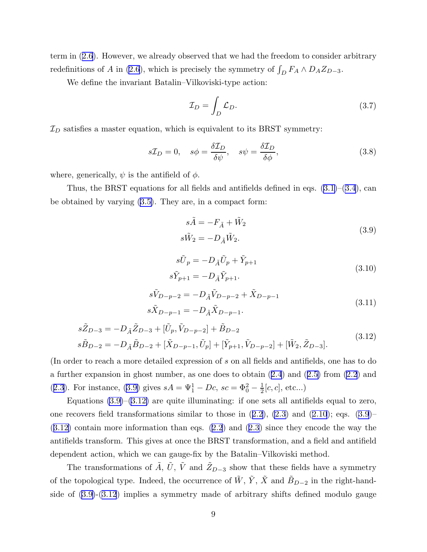term in([2.6](#page-4-0)). However, we already observed that we had the freedom to consider arbitrary redefinitionsof A in ([2.6](#page-4-0)), which is precisely the symmetry of  $\int_D F_A \wedge D_A Z_{D-3}$ .

We define the invariant Batalin–Vilkoviski-type action:

$$
\mathcal{I}_D = \int_D \mathcal{L}_D. \tag{3.7}
$$

 $\mathcal{I}_D$  satisfies a master equation, which is equivalent to its BRST symmetry:

$$
s\mathcal{I}_D = 0, \quad s\phi = \frac{\delta \mathcal{I}_D}{\delta \psi}, \quad s\psi = \frac{\delta \mathcal{I}_D}{\delta \phi}, \tag{3.8}
$$

where, generically,  $\psi$  is the antifield of  $\phi$ .

Thus, the BRST equations for all fields and antifields defined in eqs.  $(3.1)$ – $(3.4)$  $(3.4)$  $(3.4)$ , can be obtained by varying [\(3.5\)](#page-3-0). They are, in a compact form:

$$
s\tilde{A} = -F_{\tilde{A}} + \tilde{W}_2
$$
  
\n
$$
s\tilde{W}_2 = -D_{\tilde{A}}\tilde{W}_2.
$$
\n(3.9)

$$
s\tilde{U}_p = -D_{\tilde{A}}\tilde{U}_p + \tilde{Y}_{p+1}
$$
  
\n
$$
s\tilde{Y}_{p+1} = -D_{\tilde{A}}\tilde{Y}_{p+1}.
$$
\n(3.10)

$$
s\tilde{V}_{D-p-2} = -D_{\tilde{A}}\tilde{V}_{D-p-2} + \tilde{X}_{D-p-1}
$$
  
\n
$$
s\tilde{X}_{D-p-1} = -D_{\tilde{A}}\tilde{X}_{D-p-1}.
$$
\n(3.11)

$$
s\tilde{Z}_{D-3} = -D_{\tilde{A}}\tilde{Z}_{D-3} + [\tilde{U}_p, \tilde{V}_{D-p-2}] + \tilde{B}_{D-2}
$$
  
\n
$$
s\tilde{B}_{D-2} = -D_{\tilde{A}}\tilde{B}_{D-2} + [\tilde{X}_{D-p-1}, \tilde{U}_p] + [\tilde{Y}_{p+1}, \tilde{V}_{D-p-2}] + [\tilde{W}_2, \tilde{Z}_{D-3}].
$$
\n(3.12)

(In order to reach a more detailed expression of s on all fields and antifields, one has to do a further expansion in ghost number, as one does to obtain([2.4](#page-3-0)) and([2.5\)](#page-3-0) from [\(2.2](#page-1-0)) and ([2.3](#page-2-0)). For instance, [\(3.9\)](#page-4-0) gives  $sA = \Psi_1^1 - Dc$ ,  $sc = \Phi_0^2 - \frac{1}{2}$  $\frac{1}{2}[c, c],$  etc...)

Equations  $(3.9)$ – $(3.12)$  are quite illuminating: if one sets all antifields equal to zero, onerecovers field transformations similar to those in  $(2.2)$  $(2.2)$  $(2.2)$ ,  $(2.3)$  and  $(2.10)$  $(2.10)$  $(2.10)$ ; eqs.  $(3.9)$ – (3.12) contain more information than eqs. [\(2.2](#page-1-0)) and([2.3](#page-2-0)) since they encode the way the antifields transform. This gives at once the BRST transformation, and a field and antifield dependent action, which we can gauge-fix by the Batalin–Vilkoviski method.

The transformations of  $\tilde{A}$ ,  $\tilde{U}$ ,  $\tilde{V}$  and  $\tilde{Z}_{D-3}$  show that these fields have a symmetry of the topological type. Indeed, the occurrence of  $\tilde{W}$ ,  $\tilde{Y}$ ,  $\tilde{X}$  and  $\tilde{B}_{D-2}$  in the right-handside of [\(3.9\)](#page-4-0)-(3.12) implies a symmetry made of arbitrary shifts defined modulo gauge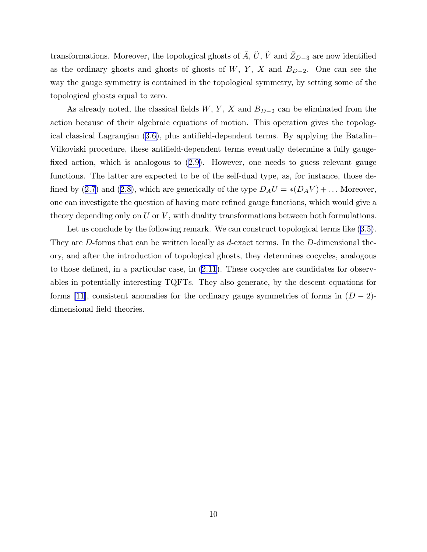transformations. Moreover, the topological ghosts of  $\tilde{A}$ ,  $\tilde{U}$ ,  $\tilde{V}$  and  $\tilde{Z}_{D-3}$  are now identified as the ordinary ghosts and ghosts of ghosts of W, Y, X and  $B_{D-2}$ . One can see the way the gauge symmetry is contained in the topological symmetry, by setting some of the topological ghosts equal to zero.

As already noted, the classical fields  $W, Y, X$  and  $B_{D-2}$  can be eliminated from the action because of their algebraic equations of motion. This operation gives the topological classical Lagrangian([3.6](#page-4-0)), plus antifield-dependent terms. By applying the Batalin– Vilkoviski procedure, these antifield-dependent terms eventually determine a fully gaugefixed action, which is analogous to [\(2.9\)](#page-4-0). However, one needs to guess relevant gauge functions. The latter are expected to be of the self-dual type, as, for instance, those de-finedby ([2.7](#page-4-0)) and ([2.8](#page-4-0)), which are generically of the type  $D_A U = *(D_A V) + ...$  Moreover, one can investigate the question of having more refined gauge functions, which would give a theory depending only on  $U$  or  $V$ , with duality transformations between both formulations.

Letus conclude by the following remark. We can construct topological terms like  $(3.5)$  $(3.5)$  $(3.5)$ . They are D-forms that can be written locally as d-exact terms. In the D-dimensional theory, and after the introduction of topological ghosts, they determines cocycles, analogous to those defined, in a particular case, in [\(2.11\)](#page-6-0). These cocycles are candidates for observables in potentially interesting TQFTs. They also generate, by the descent equations for forms [\[11](#page-11-0)], consistent anomalies for the ordinary gauge symmetries of forms in  $(D-2)$ dimensional field theories.